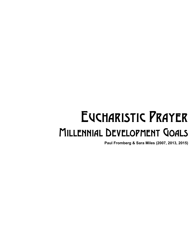# Eucharistic Prayer Millennial Development Goals

**Paul Fromberg & Sara Miles (2007, 2013, 2015)**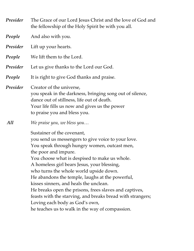| The Grace of our Lord Jesus Christ and the love of God and<br>the fellowship of the Holy Spirit be with you all.                                                                                                                                                                                                                                                                                                                                                                                                                                                                                             |
|--------------------------------------------------------------------------------------------------------------------------------------------------------------------------------------------------------------------------------------------------------------------------------------------------------------------------------------------------------------------------------------------------------------------------------------------------------------------------------------------------------------------------------------------------------------------------------------------------------------|
| And also with you.                                                                                                                                                                                                                                                                                                                                                                                                                                                                                                                                                                                           |
| Lift up your hearts.                                                                                                                                                                                                                                                                                                                                                                                                                                                                                                                                                                                         |
| We lift them to the Lord.                                                                                                                                                                                                                                                                                                                                                                                                                                                                                                                                                                                    |
| Let us give thanks to the Lord our God.                                                                                                                                                                                                                                                                                                                                                                                                                                                                                                                                                                      |
| It is right to give God thanks and praise.                                                                                                                                                                                                                                                                                                                                                                                                                                                                                                                                                                   |
| Creator of the universe,<br>you speak in the darkness, bringing song out of silence,<br>dance out of stillness, life out of death.<br>Your life fills us now and gives us the power<br>to praise you and bless you.                                                                                                                                                                                                                                                                                                                                                                                          |
| We praise you, we bless you                                                                                                                                                                                                                                                                                                                                                                                                                                                                                                                                                                                  |
| Sustainer of the covenant,<br>you send us messengers to give voice to your love.<br>You speak through hungry women, outcast men,<br>the poor and impure.<br>You choose what is despised to make us whole.<br>A homeless girl bears Jesus, your blessing,<br>who turns the whole world upside down.<br>He abandons the temple, laughs at the powerful,<br>kisses sinners, and heals the unclean.<br>He breaks open the prisons, frees slaves and captives,<br>feasts with the starving, and breaks bread with strangers;<br>Loving each body as God's own,<br>he teaches us to walk in the way of compassion. |
|                                                                                                                                                                                                                                                                                                                                                                                                                                                                                                                                                                                                              |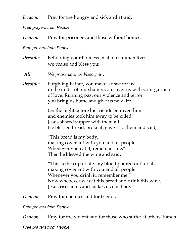## *Deacon* Pray for the hungry and sick and afraid.

### *Free prayers from People*

*Deacon* Pray for prisoners and those without homes.

#### *Free prayers from People*

*Presider* Beholding your holiness in all our human lives we praise and bless you: *All We praise you, we bless you… Presider* Forgiving Father, you make a feast for us in the midst of our shame; you cover us with your garment of love. Running past our violence and terror,

you bring us home and give us new life.

On the night before his friends betrayed him and enemies took him away to be killed, Jesus shared supper with them all. He blessed bread, broke it, gave it to them and said,

"This bread is my body, making covenant with you and all people. Whenever you eat it, remember me." Then he blessed the wine and said,

"This is the cup of life, my blood poured out for all, making covenant with you and all people. Whenever you drink it, remember me." Now whenever we eat this bread and drink this wine, Jesus rises in us and makes us one body.

*Deacon* Pray for enemies and for friends.

### *Free prayers from People*

*Deacon* Pray for the violent and for those who suffer at others' hands.

*Free prayers from People*